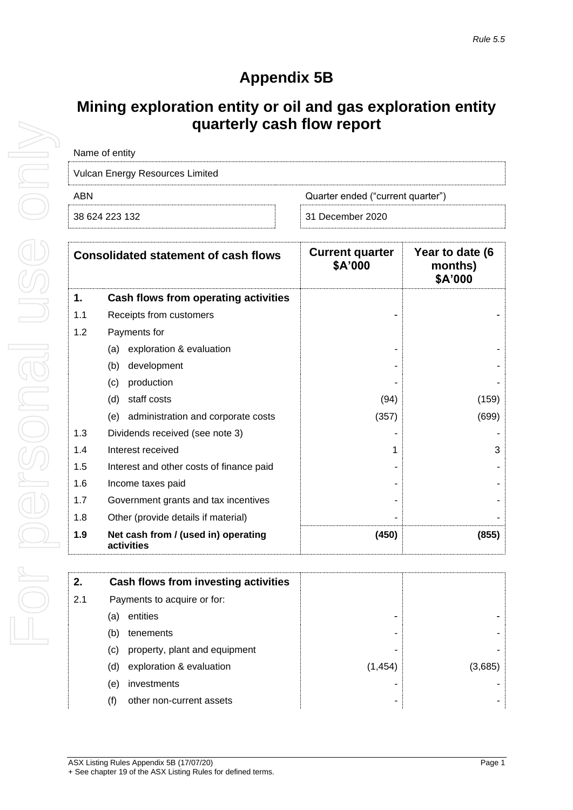## **Appendix 5B**

## **Mining exploration entity or oil and gas exploration entity quarterly cash flow report**

| Name of entity                  |                                   |
|---------------------------------|-----------------------------------|
| Vulcan Energy Resources Limited |                                   |
| ARN                             | Quarter ended ("current quarter") |
| 38 624 223 132                  | 31 December 2020                  |

|     | <b>Consolidated statement of cash flows</b>       | <b>Current quarter</b><br>\$A'000 | Year to date (6<br>months)<br>\$A'000 |
|-----|---------------------------------------------------|-----------------------------------|---------------------------------------|
| 1.  | Cash flows from operating activities              |                                   |                                       |
| 1.1 | Receipts from customers                           |                                   |                                       |
| 1.2 | Payments for                                      |                                   |                                       |
|     | exploration & evaluation<br>(a)                   |                                   |                                       |
|     | development<br>(b)                                |                                   |                                       |
|     | (c)<br>production                                 |                                   |                                       |
|     | staff costs<br>(d)                                | (94)                              | (159)                                 |
|     | administration and corporate costs<br>(e)         | (357)                             | (699)                                 |
| 1.3 | Dividends received (see note 3)                   |                                   |                                       |
| 1.4 | Interest received                                 | 1                                 | 3                                     |
| 1.5 | Interest and other costs of finance paid          |                                   |                                       |
| 1.6 | Income taxes paid                                 |                                   |                                       |
| 1.7 | Government grants and tax incentives              |                                   |                                       |
| 1.8 | Other (provide details if material)               |                                   |                                       |
| 1.9 | Net cash from / (used in) operating<br>activities | (450)                             | (855)                                 |

| 2.  | Cash flows from investing activities |         |        |
|-----|--------------------------------------|---------|--------|
| 2.1 | Payments to acquire or for:          |         |        |
|     | entities<br>(a)                      |         |        |
|     | (b)<br>tenements                     |         |        |
|     | property, plant and equipment<br>(C) |         |        |
|     | exploration & evaluation<br>(d)      | (1,454) | (3.685 |
|     | investments<br>(e)                   |         |        |
|     | other non-current assets<br>(f)      |         |        |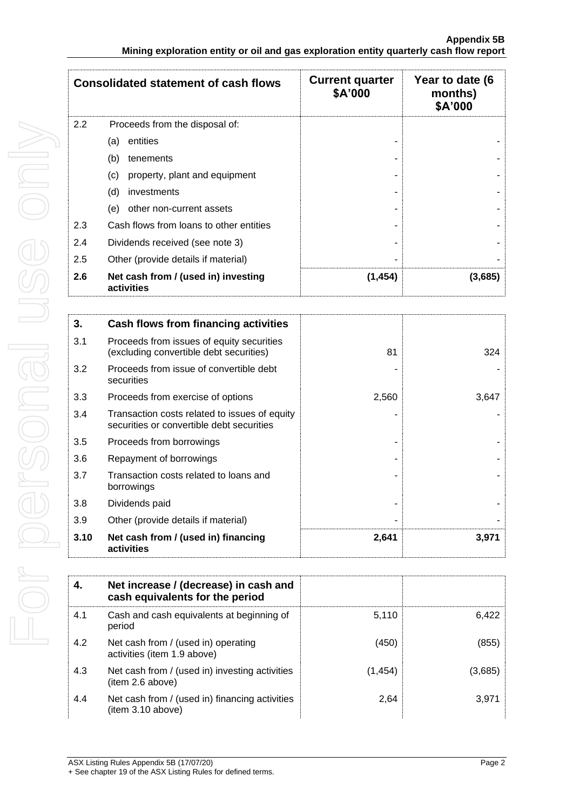| <b>Consolidated statement of cash flows</b> |                                                   | <b>Current quarter</b><br>\$A'000 | Year to date (6<br>months)<br>\$A'000 |
|---------------------------------------------|---------------------------------------------------|-----------------------------------|---------------------------------------|
| 2.2                                         | Proceeds from the disposal of:                    |                                   |                                       |
|                                             | entities<br>(a)                                   |                                   |                                       |
|                                             | (b)<br>tenements                                  |                                   |                                       |
|                                             | (c)<br>property, plant and equipment              |                                   |                                       |
|                                             | (d)<br>investments                                |                                   |                                       |
|                                             | (e)<br>other non-current assets                   |                                   |                                       |
| 2.3                                         | Cash flows from loans to other entities           |                                   |                                       |
| 2.4                                         | Dividends received (see note 3)                   |                                   |                                       |
| 2.5                                         | Other (provide details if material)               |                                   |                                       |
| 2.6                                         | Net cash from / (used in) investing<br>activities | (1, 454)                          | (3,685)                               |

| 3.   | Cash flows from financing activities                                                       |       |       |
|------|--------------------------------------------------------------------------------------------|-------|-------|
| 3.1  | Proceeds from issues of equity securities<br>(excluding convertible debt securities)       | 81    | 324   |
| 3.2  | Proceeds from issue of convertible debt<br>securities                                      |       |       |
| 3.3  | Proceeds from exercise of options                                                          | 2,560 | 3,647 |
| 3.4  | Transaction costs related to issues of equity<br>securities or convertible debt securities |       |       |
| 3.5  | Proceeds from borrowings                                                                   |       |       |
| 3.6  | Repayment of borrowings                                                                    |       |       |
| 3.7  | Transaction costs related to loans and<br>borrowings                                       |       |       |
| 3.8  | Dividends paid                                                                             |       |       |
| 3.9  | Other (provide details if material)                                                        |       |       |
| 3.10 | Net cash from / (used in) financing<br>activities                                          | 2,641 | 3,971 |

| 4.  | Net increase / (decrease) in cash and<br>cash equivalents for the period |          |         |
|-----|--------------------------------------------------------------------------|----------|---------|
| 4.1 | Cash and cash equivalents at beginning of<br>period                      | 5,110    | 6.422   |
| 4.2 | Net cash from / (used in) operating<br>activities (item 1.9 above)       | (450)    | (855)   |
| 4.3 | Net cash from / (used in) investing activities<br>(item 2.6 above)       | (1, 454) | (3,685) |
| 4.4 | Net cash from / (used in) financing activities<br>item 3.10 above)       | 2.64     | 3,971   |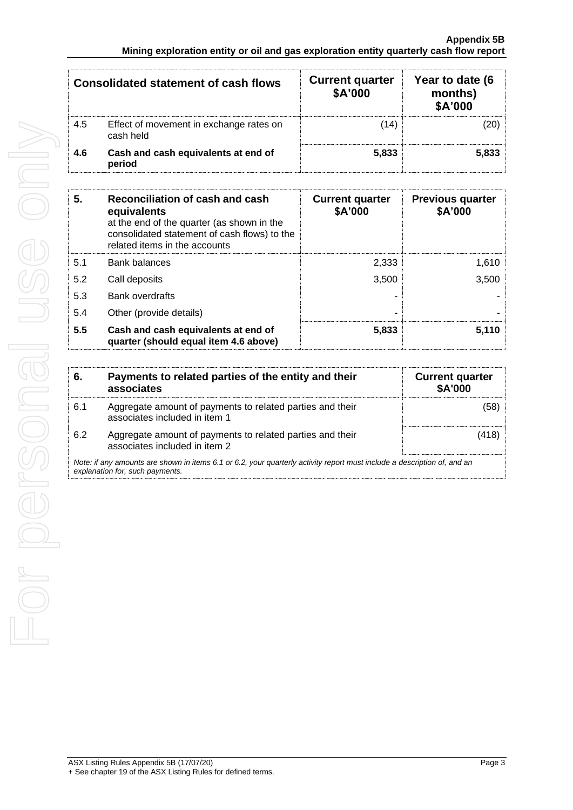| Consolidated statement of cash flows |                                                      | <b>Current quarter</b><br>\$A'000 | Year to date (6<br>months)<br>\$A'000 |  |
|--------------------------------------|------------------------------------------------------|-----------------------------------|---------------------------------------|--|
| 4.5                                  | Effect of movement in exchange rates on<br>cash held | (14)                              |                                       |  |
| 4.6                                  | Cash and cash equivalents at end of<br>period        | 5.833                             | 5,833                                 |  |

| 5.  | Reconciliation of cash and cash<br>equivalents<br>at the end of the quarter (as shown in the<br>consolidated statement of cash flows) to the<br>related items in the accounts | <b>Current quarter</b><br>\$A'000 | <b>Previous quarter</b><br>\$A'000 |
|-----|-------------------------------------------------------------------------------------------------------------------------------------------------------------------------------|-----------------------------------|------------------------------------|
| 5.1 | <b>Bank balances</b>                                                                                                                                                          | 2,333                             | 1,610                              |
| 5.2 | Call deposits                                                                                                                                                                 | 3,500                             | 3,500                              |
| 5.3 | <b>Bank overdrafts</b>                                                                                                                                                        |                                   |                                    |
| 5.4 | Other (provide details)                                                                                                                                                       |                                   |                                    |
| 5.5 | Cash and cash equivalents at end of<br>quarter (should equal item 4.6 above)                                                                                                  | 5,833                             | 5.110                              |

| -6.                                                                                                                                                         | Payments to related parties of the entity and their<br>associates                          | <b>Current quarter</b><br><b>\$A'000</b> |
|-------------------------------------------------------------------------------------------------------------------------------------------------------------|--------------------------------------------------------------------------------------------|------------------------------------------|
| 6.1                                                                                                                                                         | Aggregate amount of payments to related parties and their<br>associates included in item 1 | (58)                                     |
| 6.2                                                                                                                                                         | Aggregate amount of payments to related parties and their<br>associates included in item 2 | (418)                                    |
| Note: if any amounts are shown in items 6.1 or 6.2, your quarterly activity report must include a description of, and an<br>explanation for, such payments. |                                                                                            |                                          |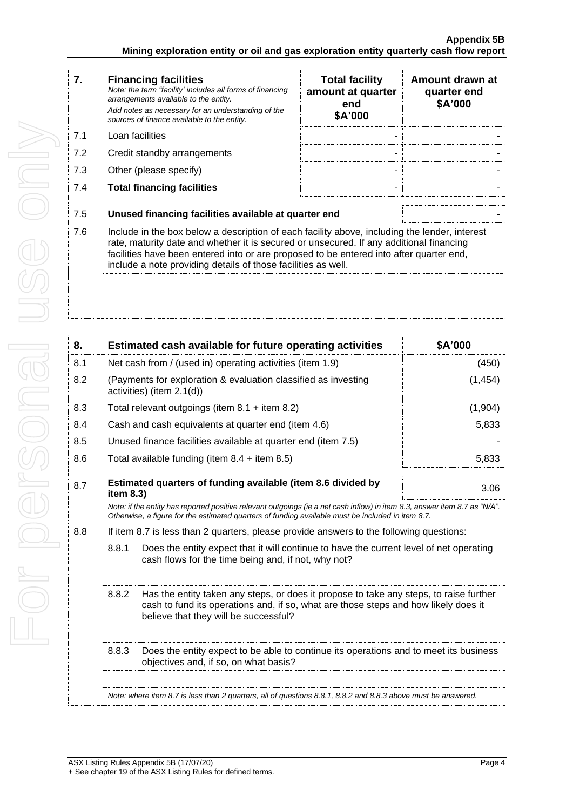| 7.  | <b>Financing facilities</b><br>Note: the term "facility' includes all forms of financing<br>arrangements available to the entity.<br>Add notes as necessary for an understanding of the<br>sources of finance available to the entity.                                                                                                               | <b>Total facility</b><br>amount at quarter<br>end<br>\$A'000 | Amount drawn at<br>quarter end<br>\$A'000 |
|-----|------------------------------------------------------------------------------------------------------------------------------------------------------------------------------------------------------------------------------------------------------------------------------------------------------------------------------------------------------|--------------------------------------------------------------|-------------------------------------------|
| 7.1 | Loan facilities                                                                                                                                                                                                                                                                                                                                      |                                                              |                                           |
| 7.2 | Credit standby arrangements                                                                                                                                                                                                                                                                                                                          |                                                              |                                           |
| 7.3 | Other (please specify)                                                                                                                                                                                                                                                                                                                               |                                                              |                                           |
| 7.4 | <b>Total financing facilities</b>                                                                                                                                                                                                                                                                                                                    |                                                              |                                           |
| 7.5 | Unused financing facilities available at quarter end                                                                                                                                                                                                                                                                                                 |                                                              |                                           |
| 7.6 | Include in the box below a description of each facility above, including the lender, interest<br>rate, maturity date and whether it is secured or unsecured. If any additional financing<br>facilities have been entered into or are proposed to be entered into after quarter end,<br>include a note providing details of those facilities as well. |                                                              |                                           |
|     |                                                                                                                                                                                                                                                                                                                                                      |                                                              |                                           |

| 8.                                                                               |                                                                                                                                                                                                                                 | Estimated cash available for future operating activities                                                                                                                                                               | \$A'000  |  |
|----------------------------------------------------------------------------------|---------------------------------------------------------------------------------------------------------------------------------------------------------------------------------------------------------------------------------|------------------------------------------------------------------------------------------------------------------------------------------------------------------------------------------------------------------------|----------|--|
| 8.1                                                                              | Net cash from / (used in) operating activities (item 1.9)                                                                                                                                                                       |                                                                                                                                                                                                                        | (450)    |  |
| 8.2                                                                              |                                                                                                                                                                                                                                 | (Payments for exploration & evaluation classified as investing<br>activities) (item 2.1(d))                                                                                                                            | (1, 454) |  |
| 8.3                                                                              |                                                                                                                                                                                                                                 | Total relevant outgoings (item $8.1 +$ item $8.2$ )                                                                                                                                                                    | (1,904)  |  |
| 8.4                                                                              |                                                                                                                                                                                                                                 | Cash and cash equivalents at quarter end (item 4.6)                                                                                                                                                                    | 5,833    |  |
| 8.5                                                                              |                                                                                                                                                                                                                                 | Unused finance facilities available at quarter end (item 7.5)                                                                                                                                                          |          |  |
| 8.6                                                                              |                                                                                                                                                                                                                                 | Total available funding (item $8.4 +$ item $8.5$ )                                                                                                                                                                     | 5,833    |  |
| Estimated quarters of funding available (item 8.6 divided by<br>8.7<br>item 8.3) |                                                                                                                                                                                                                                 |                                                                                                                                                                                                                        | 3.06     |  |
|                                                                                  | Note: if the entity has reported positive relevant outgoings (ie a net cash inflow) in item 8.3, answer item 8.7 as "N/A".<br>Otherwise, a figure for the estimated quarters of funding available must be included in item 8.7. |                                                                                                                                                                                                                        |          |  |
| 8.8                                                                              |                                                                                                                                                                                                                                 | If item 8.7 is less than 2 quarters, please provide answers to the following questions:                                                                                                                                |          |  |
|                                                                                  | 8.8.1                                                                                                                                                                                                                           | Does the entity expect that it will continue to have the current level of net operating                                                                                                                                |          |  |
|                                                                                  |                                                                                                                                                                                                                                 |                                                                                                                                                                                                                        |          |  |
|                                                                                  | 8.8.2                                                                                                                                                                                                                           | Has the entity taken any steps, or does it propose to take any steps, to raise further<br>cash to fund its operations and, if so, what are those steps and how likely does it<br>believe that they will be successful? |          |  |
|                                                                                  |                                                                                                                                                                                                                                 |                                                                                                                                                                                                                        |          |  |
|                                                                                  | 8.8.3                                                                                                                                                                                                                           | Does the entity expect to be able to continue its operations and to meet its business<br>objectives and, if so, on what basis?                                                                                         |          |  |
|                                                                                  |                                                                                                                                                                                                                                 |                                                                                                                                                                                                                        |          |  |
|                                                                                  |                                                                                                                                                                                                                                 | Note: where item 8.7 is less than 2 quarters, all of questions 8.8.1, 8.8.2 and 8.8.3 above must be answered.                                                                                                          |          |  |